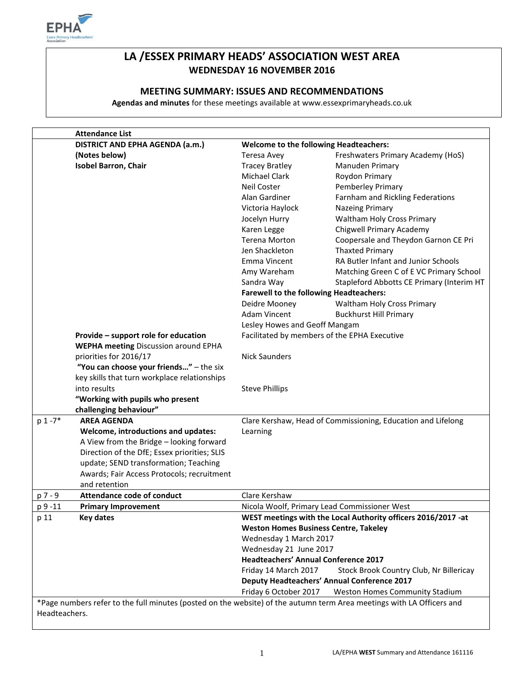

# **LA /ESSEX PRIMARY HEADS' ASSOCIATION WEST AREA WEDNESDAY 16 NOVEMBER 2016**

## **MEETING SUMMARY: ISSUES AND RECOMMENDATIONS**

**Agendas and minutes** for these meetings available at www.essexprimaryheads.co.uk

|            | <b>Attendance List</b>                                                                                                |                                                                                                                                                                                                                                                                                                                                           |                                              |  |
|------------|-----------------------------------------------------------------------------------------------------------------------|-------------------------------------------------------------------------------------------------------------------------------------------------------------------------------------------------------------------------------------------------------------------------------------------------------------------------------------------|----------------------------------------------|--|
|            | DISTRICT AND EPHA AGENDA (a.m.)                                                                                       | <b>Welcome to the following Headteachers:</b>                                                                                                                                                                                                                                                                                             |                                              |  |
|            | (Notes below)                                                                                                         | Teresa Avey                                                                                                                                                                                                                                                                                                                               | Freshwaters Primary Academy (HoS)            |  |
|            | <b>Isobel Barron, Chair</b>                                                                                           | <b>Tracey Bratley</b>                                                                                                                                                                                                                                                                                                                     | Manuden Primary                              |  |
|            |                                                                                                                       | Michael Clark                                                                                                                                                                                                                                                                                                                             | Roydon Primary                               |  |
|            |                                                                                                                       | <b>Neil Coster</b>                                                                                                                                                                                                                                                                                                                        | Pemberley Primary                            |  |
|            |                                                                                                                       | Alan Gardiner                                                                                                                                                                                                                                                                                                                             | Farnham and Rickling Federations             |  |
|            |                                                                                                                       | Victoria Haylock                                                                                                                                                                                                                                                                                                                          | <b>Nazeing Primary</b>                       |  |
|            |                                                                                                                       | Jocelyn Hurry                                                                                                                                                                                                                                                                                                                             | Waltham Holy Cross Primary                   |  |
|            |                                                                                                                       | Karen Legge                                                                                                                                                                                                                                                                                                                               | Chigwell Primary Academy                     |  |
|            |                                                                                                                       | Terena Morton                                                                                                                                                                                                                                                                                                                             | Coopersale and Theydon Garnon CE Pri         |  |
|            |                                                                                                                       | Jen Shackleton                                                                                                                                                                                                                                                                                                                            | <b>Thaxted Primary</b>                       |  |
|            |                                                                                                                       | Emma Vincent                                                                                                                                                                                                                                                                                                                              | <b>RA Butler Infant and Junior Schools</b>   |  |
|            |                                                                                                                       | Amy Wareham                                                                                                                                                                                                                                                                                                                               | Matching Green C of E VC Primary School      |  |
|            |                                                                                                                       | Sandra Way                                                                                                                                                                                                                                                                                                                                | Stapleford Abbotts CE Primary (Interim HT    |  |
|            |                                                                                                                       | <b>Farewell to the following Headteachers:</b>                                                                                                                                                                                                                                                                                            |                                              |  |
|            |                                                                                                                       | Deidre Mooney                                                                                                                                                                                                                                                                                                                             | Waltham Holy Cross Primary                   |  |
|            |                                                                                                                       | <b>Adam Vincent</b>                                                                                                                                                                                                                                                                                                                       | <b>Buckhurst Hill Primary</b>                |  |
|            |                                                                                                                       | Lesley Howes and Geoff Mangam                                                                                                                                                                                                                                                                                                             |                                              |  |
|            | Provide - support role for education                                                                                  |                                                                                                                                                                                                                                                                                                                                           | Facilitated by members of the EPHA Executive |  |
|            | <b>WEPHA meeting Discussion around EPHA</b>                                                                           |                                                                                                                                                                                                                                                                                                                                           |                                              |  |
|            | priorities for 2016/17                                                                                                | <b>Nick Saunders</b>                                                                                                                                                                                                                                                                                                                      |                                              |  |
|            | "You can choose your friends" - the six                                                                               |                                                                                                                                                                                                                                                                                                                                           |                                              |  |
|            | key skills that turn workplace relationships                                                                          |                                                                                                                                                                                                                                                                                                                                           |                                              |  |
|            | into results                                                                                                          | <b>Steve Phillips</b>                                                                                                                                                                                                                                                                                                                     |                                              |  |
|            | "Working with pupils who present                                                                                      |                                                                                                                                                                                                                                                                                                                                           |                                              |  |
|            | challenging behaviour"                                                                                                |                                                                                                                                                                                                                                                                                                                                           |                                              |  |
| $p 1 - 7*$ | <b>AREA AGENDA</b>                                                                                                    | Clare Kershaw, Head of Commissioning, Education and Lifelong                                                                                                                                                                                                                                                                              |                                              |  |
|            | Welcome, introductions and updates:                                                                                   | Learning                                                                                                                                                                                                                                                                                                                                  |                                              |  |
|            | A View from the Bridge - looking forward                                                                              |                                                                                                                                                                                                                                                                                                                                           |                                              |  |
|            | Direction of the DfE; Essex priorities; SLIS                                                                          |                                                                                                                                                                                                                                                                                                                                           |                                              |  |
|            | update; SEND transformation; Teaching                                                                                 |                                                                                                                                                                                                                                                                                                                                           |                                              |  |
|            | Awards; Fair Access Protocols; recruitment                                                                            |                                                                                                                                                                                                                                                                                                                                           |                                              |  |
|            | and retention                                                                                                         |                                                                                                                                                                                                                                                                                                                                           |                                              |  |
| p 7 - 9    | <b>Attendance code of conduct</b>                                                                                     | Clare Kershaw                                                                                                                                                                                                                                                                                                                             |                                              |  |
| p 9 -11    | <b>Primary Improvement</b>                                                                                            |                                                                                                                                                                                                                                                                                                                                           | Nicola Woolf, Primary Lead Commissioner West |  |
| p 11       | Key dates                                                                                                             | WEST meetings with the Local Authority officers 2016/2017 -at<br><b>Weston Homes Business Centre, Takeley</b><br>Wednesday 1 March 2017<br>Wednesday 21 June 2017<br><b>Headteachers' Annual Conference 2017</b><br>Friday 14 March 2017<br>Stock Brook Country Club, Nr Billericay<br><b>Deputy Headteachers' Annual Conference 2017</b> |                                              |  |
|            |                                                                                                                       |                                                                                                                                                                                                                                                                                                                                           |                                              |  |
|            |                                                                                                                       |                                                                                                                                                                                                                                                                                                                                           |                                              |  |
|            |                                                                                                                       |                                                                                                                                                                                                                                                                                                                                           |                                              |  |
|            |                                                                                                                       |                                                                                                                                                                                                                                                                                                                                           |                                              |  |
|            |                                                                                                                       |                                                                                                                                                                                                                                                                                                                                           |                                              |  |
|            |                                                                                                                       |                                                                                                                                                                                                                                                                                                                                           |                                              |  |
|            |                                                                                                                       | Friday 6 October 2017                                                                                                                                                                                                                                                                                                                     | Weston Homes Community Stadium               |  |
|            | *Page numbers refer to the full minutes (posted on the website) of the autumn term Area meetings with LA Officers and |                                                                                                                                                                                                                                                                                                                                           |                                              |  |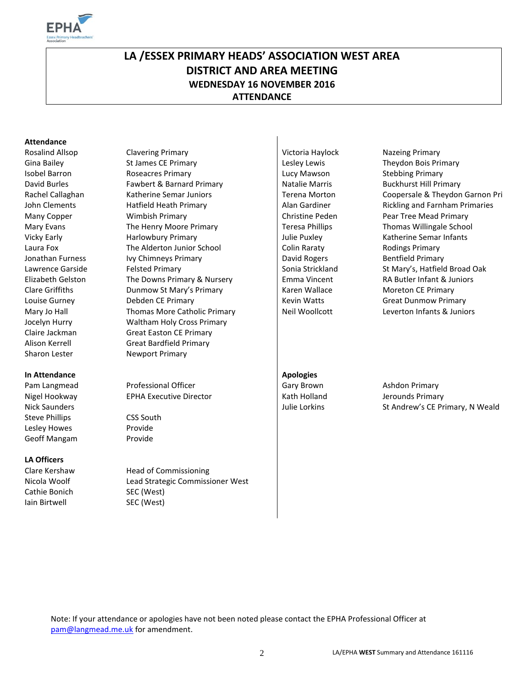

# **LA /ESSEX PRIMARY HEADS' ASSOCIATION WEST AREA DISTRICT AND AREA MEETING WEDNESDAY 16 NOVEMBER 2016 ATTENDANCE**

#### **Attendance**

Sharon Lester Newport Primary

#### **In Attendance Apologies Apologies Apologies**

Steve Phillips CSS South Lesley Howes Provide Geoff Mangam Provide

#### **LA Officers**

Cathie Bonich SEC (West) Iain Birtwell SEC (West)

Rosalind Allsop Clavering Primary Company Clavering Primary Nictoria Haylock Nazeing Primary Gina Bailey **St James CE Primary** Lesley Lewis Theydon Bois Primary **St Act 20** Lesley Lewis Theydon Bois Primary Isobel Barron Roseacres Primary Lucy Mawson Stebbing Primary David Burles **Fawbert & Barnard Primary** Natalie Marris Buckhurst Hill Primary **Natalie Marris** Buckhurst Hill Primary John Clements **Hatfield Heath Primary Alan Gardiner** Rickling and Farnham Primaries Many Copper **Christian Copper** Wimbish Primary Christine Peden Pear Tree Mead Primary Mary Evans **The Henry Moore Primary Community** Teresa Phillips Thomas Willingale School Vicky Early **Harlowbury Primary Community** Julie Puxley Katherine Semar Infants Laura Fox **The Alderton Junior School** Colin Raraty **Colin Raraty** Rodings Primary Jonathan Furness Ivy Chimneys Primary David Rogers Bentfield Primary **David Rogers** Bentfield Primary Lawrence Garside Felsted Primary State Strickland Strickland Strickland St Mary's, Hatfield Broad Oak Elizabeth Gelston The Downs Primary & Nursery Emma Vincent RA Butler Infant & Juniors Clare Griffiths **Clare Clare Clare Clare Clare Clare Clare Clare Clare Clare Clare Clare Clare Clare Clare Clare** Louise Gurney **Debden CE Primary Community** Kevin Watts Great Dunmow Primary Mary Jo Hall **Thomas More Catholic Primary Neil Woollcott** Leverton Infants & Juniors Jocelyn Hurry Waltham Holy Cross Primary Claire Jackman Great Easton CE Primary Alison Kerrell Great Bardfield Primary

Pam Langmead Professional Officer Care Gary Brown Ashdon Primary Nigel Hookway **EPHA Executive Director Research Holland** Jerounds Primary

Clare Kershaw Head of Commissioning Nicola Woolf Lead Strategic Commissioner West

Rachel Callaghan Katherine Semar Juniors Terena Morton Coopersale & Theydon Garnon Pri

Nick Saunders Julie Lorkins St Andrew's CE Primary, N Weald

Note: If your attendance or apologies have not been noted please contact the EPHA Professional Officer at [pam@langmead.me.uk](mailto:pam@langmead.me.uk) for amendment.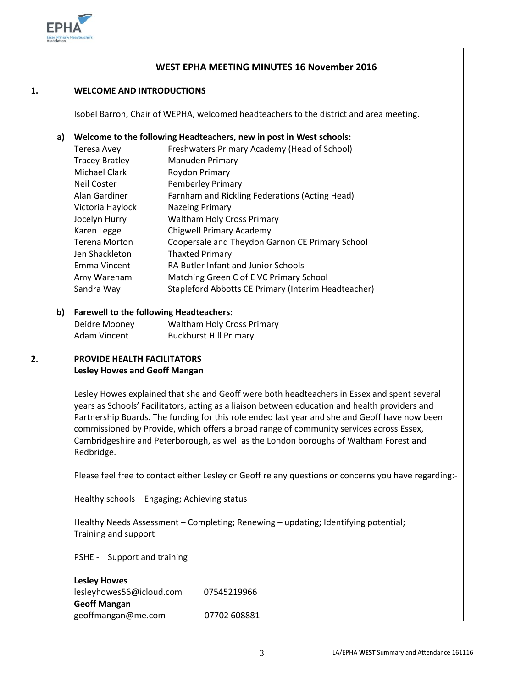

#### **WEST EPHA MEETING MINUTES 16 November 2016**

#### **1. WELCOME AND INTRODUCTIONS**

Isobel Barron, Chair of WEPHA, welcomed headteachers to the district and area meeting.

#### **a) Welcome to the following Headteachers, new in post in West schools:**

| Teresa Avey           | Freshwaters Primary Academy (Head of School)        |
|-----------------------|-----------------------------------------------------|
| <b>Tracey Bratley</b> | Manuden Primary                                     |
| <b>Michael Clark</b>  | Roydon Primary                                      |
| <b>Neil Coster</b>    | <b>Pemberley Primary</b>                            |
| Alan Gardiner         | Farnham and Rickling Federations (Acting Head)      |
| Victoria Haylock      | <b>Nazeing Primary</b>                              |
| Jocelyn Hurry         | <b>Waltham Holy Cross Primary</b>                   |
| Karen Legge           | Chigwell Primary Academy                            |
| <b>Terena Morton</b>  | Coopersale and Theydon Garnon CE Primary School     |
| Jen Shackleton        | <b>Thaxted Primary</b>                              |
| Emma Vincent          | RA Butler Infant and Junior Schools                 |
| Amy Wareham           | Matching Green C of E VC Primary School             |
| Sandra Way            | Stapleford Abbotts CE Primary (Interim Headteacher) |
|                       |                                                     |

#### **b) Farewell to the following Headteachers:**

| Deidre Mooney | <b>Waltham Holy Cross Primary</b> |
|---------------|-----------------------------------|
| Adam Vincent  | <b>Buckhurst Hill Primary</b>     |

#### **2. PROVIDE HEALTH FACILITATORS Lesley Howes and Geoff Mangan**

Lesley Howes explained that she and Geoff were both headteachers in Essex and spent several years as Schools' Facilitators, acting as a liaison between education and health providers and Partnership Boards. The funding for this role ended last year and she and Geoff have now been commissioned by Provide, which offers a broad range of community services across Essex, Cambridgeshire and Peterborough, as well as the London boroughs of Waltham Forest and Redbridge.

Please feel free to contact either Lesley or Geoff re any questions or concerns you have regarding:-

Healthy schools – Engaging; Achieving status

Healthy Needs Assessment – Completing; Renewing – updating; Identifying potential; Training and support

PSHE - Support and training

| <b>Lesley Howes</b>      |              |
|--------------------------|--------------|
| lesleyhowes56@icloud.com | 07545219966  |
| <b>Geoff Mangan</b>      |              |
| geoffmangan@me.com       | 07702 608881 |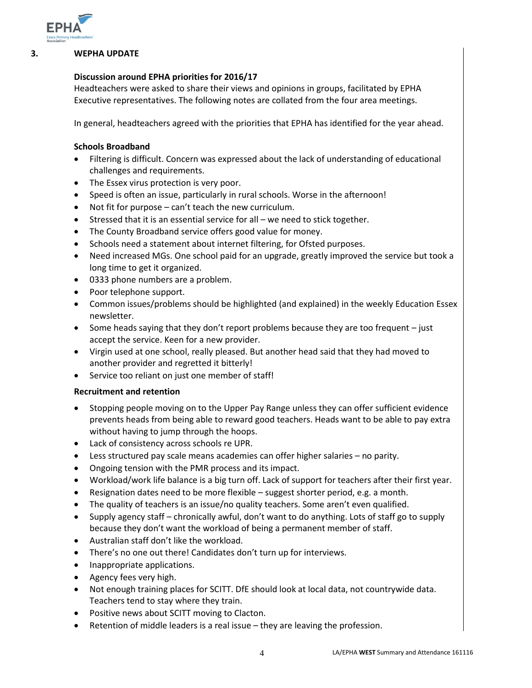

#### **3. WEPHA UPDATE**

#### **Discussion around EPHA priorities for 2016/17**

Headteachers were asked to share their views and opinions in groups, facilitated by EPHA Executive representatives. The following notes are collated from the four area meetings.

In general, headteachers agreed with the priorities that EPHA has identified for the year ahead.

#### **Schools Broadband**

- Filtering is difficult. Concern was expressed about the lack of understanding of educational challenges and requirements.
- The Essex virus protection is very poor.
- Speed is often an issue, particularly in rural schools. Worse in the afternoon!
- Not fit for purpose can't teach the new curriculum.
- Stressed that it is an essential service for all we need to stick together.
- The County Broadband service offers good value for money.
- Schools need a statement about internet filtering, for Ofsted purposes.
- Need increased MGs. One school paid for an upgrade, greatly improved the service but took a long time to get it organized.
- 0333 phone numbers are a problem.
- Poor telephone support.
- Common issues/problems should be highlighted (and explained) in the weekly Education Essex newsletter.
- $\bullet$  Some heads saying that they don't report problems because they are too frequent  $-$  just accept the service. Keen for a new provider.
- Virgin used at one school, really pleased. But another head said that they had moved to another provider and regretted it bitterly!
- Service too reliant on just one member of staff!

#### **Recruitment and retention**

- Stopping people moving on to the Upper Pay Range unless they can offer sufficient evidence prevents heads from being able to reward good teachers. Heads want to be able to pay extra without having to jump through the hoops.
- Lack of consistency across schools re UPR.
- Less structured pay scale means academies can offer higher salaries no parity.
- Ongoing tension with the PMR process and its impact.
- Workload/work life balance is a big turn off. Lack of support for teachers after their first year.
- Resignation dates need to be more flexible suggest shorter period, e.g. a month.
- The quality of teachers is an issue/no quality teachers. Some aren't even qualified.
- Supply agency staff chronically awful, don't want to do anything. Lots of staff go to supply because they don't want the workload of being a permanent member of staff.
- Australian staff don't like the workload.
- There's no one out there! Candidates don't turn up for interviews.
- Inappropriate applications.
- Agency fees very high.
- Not enough training places for SCITT. DfE should look at local data, not countrywide data. Teachers tend to stay where they train.
- Positive news about SCITT moving to Clacton.
- Retention of middle leaders is a real issue they are leaving the profession.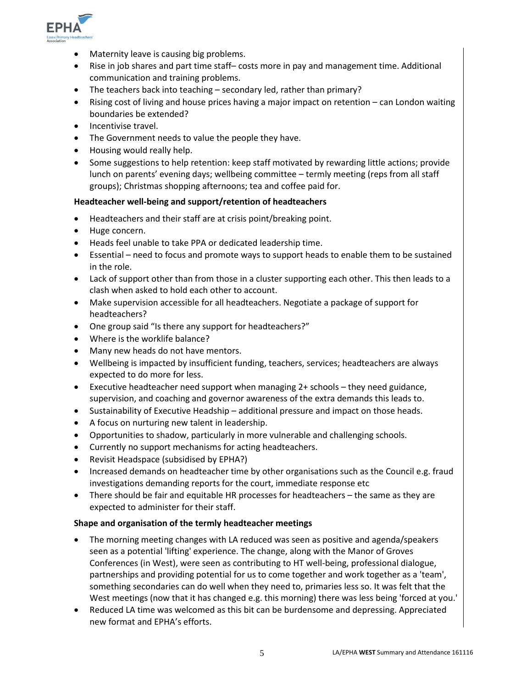

- Maternity leave is causing big problems.
- Rise in job shares and part time staff– costs more in pay and management time. Additional communication and training problems.
- The teachers back into teaching secondary led, rather than primary?
- Rising cost of living and house prices having a major impact on retention can London waiting boundaries be extended?
- Incentivise travel.
- The Government needs to value the people they have.
- Housing would really help.
- Some suggestions to help retention: keep staff motivated by rewarding little actions; provide lunch on parents' evening days; wellbeing committee – termly meeting (reps from all staff groups); Christmas shopping afternoons; tea and coffee paid for.

#### **Headteacher well-being and support/retention of headteachers**

- Headteachers and their staff are at crisis point/breaking point.
- Huge concern.
- Heads feel unable to take PPA or dedicated leadership time.
- Essential need to focus and promote ways to support heads to enable them to be sustained in the role.
- Lack of support other than from those in a cluster supporting each other. This then leads to a clash when asked to hold each other to account.
- Make supervision accessible for all headteachers. Negotiate a package of support for headteachers?
- One group said "Is there any support for headteachers?"
- Where is the worklife balance?
- Many new heads do not have mentors.
- Wellbeing is impacted by insufficient funding, teachers, services; headteachers are always expected to do more for less.
- Executive headteacher need support when managing 2+ schools they need guidance, supervision, and coaching and governor awareness of the extra demands this leads to.
- Sustainability of Executive Headship additional pressure and impact on those heads.
- A focus on nurturing new talent in leadership.
- Opportunities to shadow, particularly in more vulnerable and challenging schools.
- Currently no support mechanisms for acting headteachers.
- Revisit Headspace (subsidised by EPHA?)
- Increased demands on headteacher time by other organisations such as the Council e.g. fraud investigations demanding reports for the court, immediate response etc
- There should be fair and equitable HR processes for headteachers the same as they are expected to administer for their staff.

#### **Shape and organisation of the termly headteacher meetings**

- The morning meeting changes with LA reduced was seen as positive and agenda/speakers seen as a potential 'lifting' experience. The change, along with the Manor of Groves Conferences (in West), were seen as contributing to HT well-being, professional dialogue, partnerships and providing potential for us to come together and work together as a 'team', something secondaries can do well when they need to, primaries less so. It was felt that the West meetings (now that it has changed e.g. this morning) there was less being 'forced at you.'
- Reduced LA time was welcomed as this bit can be burdensome and depressing. Appreciated new format and EPHA's efforts.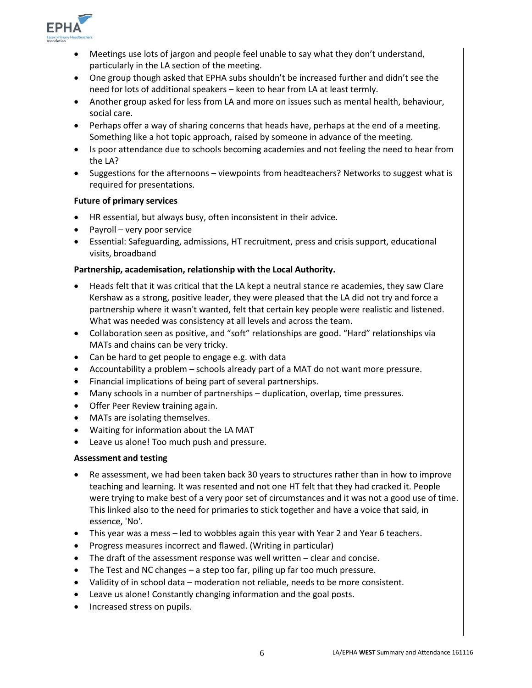

- Meetings use lots of jargon and people feel unable to say what they don't understand, particularly in the LA section of the meeting.
- One group though asked that EPHA subs shouldn't be increased further and didn't see the need for lots of additional speakers – keen to hear from LA at least termly.
- Another group asked for less from LA and more on issues such as mental health, behaviour, social care.
- Perhaps offer a way of sharing concerns that heads have, perhaps at the end of a meeting. Something like a hot topic approach, raised by someone in advance of the meeting.
- Is poor attendance due to schools becoming academies and not feeling the need to hear from the LA?
- Suggestions for the afternoons viewpoints from headteachers? Networks to suggest what is required for presentations.

#### **Future of primary services**

- HR essential, but always busy, often inconsistent in their advice.
- Payroll very poor service
- Essential: Safeguarding, admissions, HT recruitment, press and crisis support, educational visits, broadband

#### **Partnership, academisation, relationship with the Local Authority.**

- Heads felt that it was critical that the LA kept a neutral stance re academies, they saw Clare Kershaw as a strong, positive leader, they were pleased that the LA did not try and force a partnership where it wasn't wanted, felt that certain key people were realistic and listened. What was needed was consistency at all levels and across the team.
- Collaboration seen as positive, and "soft" relationships are good. "Hard" relationships via MATs and chains can be very tricky.
- Can be hard to get people to engage e.g. with data
- Accountability a problem schools already part of a MAT do not want more pressure.
- Financial implications of being part of several partnerships.
- Many schools in a number of partnerships duplication, overlap, time pressures.
- Offer Peer Review training again.
- MATs are isolating themselves.
- Waiting for information about the LA MAT
- Leave us alone! Too much push and pressure.

#### **Assessment and testing**

- Re assessment, we had been taken back 30 years to structures rather than in how to improve teaching and learning. It was resented and not one HT felt that they had cracked it. People were trying to make best of a very poor set of circumstances and it was not a good use of time. This linked also to the need for primaries to stick together and have a voice that said, in essence, 'No'.
- This year was a mess led to wobbles again this year with Year 2 and Year 6 teachers.
- Progress measures incorrect and flawed. (Writing in particular)
- The draft of the assessment response was well written clear and concise.
- The Test and NC changes a step too far, piling up far too much pressure.
- Validity of in school data moderation not reliable, needs to be more consistent.
- Leave us alone! Constantly changing information and the goal posts.
- Increased stress on pupils.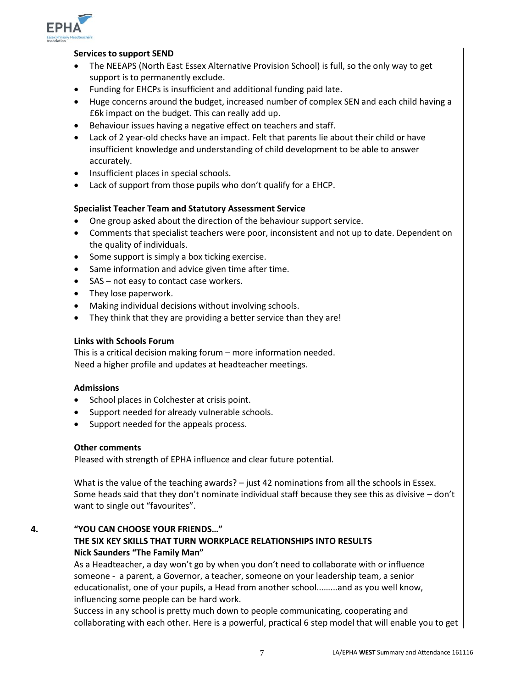

#### **Services to support SEND**

- The NEEAPS (North East Essex Alternative Provision School) is full, so the only way to get support is to permanently exclude.
- Funding for EHCPs is insufficient and additional funding paid late.
- Huge concerns around the budget, increased number of complex SEN and each child having a £6k impact on the budget. This can really add up.
- Behaviour issues having a negative effect on teachers and staff.
- Lack of 2 year-old checks have an impact. Felt that parents lie about their child or have insufficient knowledge and understanding of child development to be able to answer accurately.
- Insufficient places in special schools.
- Lack of support from those pupils who don't qualify for a EHCP.

#### **Specialist Teacher Team and Statutory Assessment Service**

- One group asked about the direction of the behaviour support service.
- Comments that specialist teachers were poor, inconsistent and not up to date. Dependent on the quality of individuals.
- Some support is simply a box ticking exercise.
- Same information and advice given time after time.
- SAS not easy to contact case workers.
- They lose paperwork.
- Making individual decisions without involving schools.
- They think that they are providing a better service than they are!

#### **Links with Schools Forum**

This is a critical decision making forum – more information needed. Need a higher profile and updates at headteacher meetings.

#### **Admissions**

- School places in Colchester at crisis point.
- Support needed for already vulnerable schools.
- Support needed for the appeals process.

#### **Other comments**

Pleased with strength of EPHA influence and clear future potential.

What is the value of the teaching awards? – just 42 nominations from all the schools in Essex. Some heads said that they don't nominate individual staff because they see this as divisive – don't want to single out "favourites".

#### **4. "YOU CAN CHOOSE YOUR FRIENDS…" THE SIX KEY SKILLS THAT TURN WORKPLACE RELATIONSHIPS INTO RESULTS Nick Saunders "The Family Man"**

As a Headteacher, a day won't go by when you don't need to collaborate with or influence someone - a parent, a Governor, a teacher, someone on your leadership team, a senior educationalist, one of your pupils, a Head from another school...…...and as you well know, influencing some people can be hard work.

Success in any school is pretty much down to people communicating, cooperating and collaborating with each other. Here is a powerful, practical 6 step model that will enable you to get